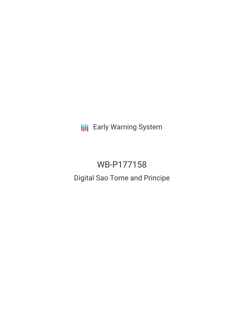**III** Early Warning System

# WB-P177158 Digital Sao Tome and Principe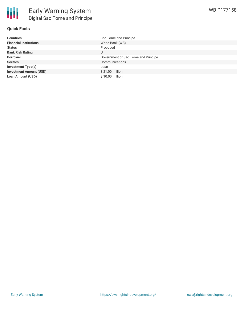## **Quick Facts**

| <b>Countries</b>               | Sao Tome and Principe               |
|--------------------------------|-------------------------------------|
| <b>Financial Institutions</b>  | World Bank (WB)                     |
| <b>Status</b>                  | Proposed                            |
| <b>Bank Risk Rating</b>        | U                                   |
| <b>Borrower</b>                | Government of Sao Tome and Principe |
| <b>Sectors</b>                 | Communications                      |
| <b>Investment Type(s)</b>      | Loan                                |
| <b>Investment Amount (USD)</b> | \$21.00 million                     |
| <b>Loan Amount (USD)</b>       | \$10.00 million                     |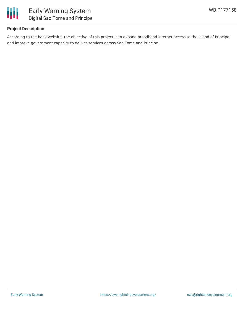

## **Project Description**

According to the bank website, the objective of this project is to expand broadband internet access to the Island of Principe and improve government capacity to deliver services across Sao Tome and Principe.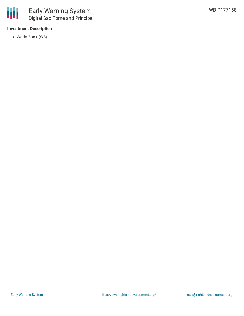## **Investment Description**

World Bank (WB)